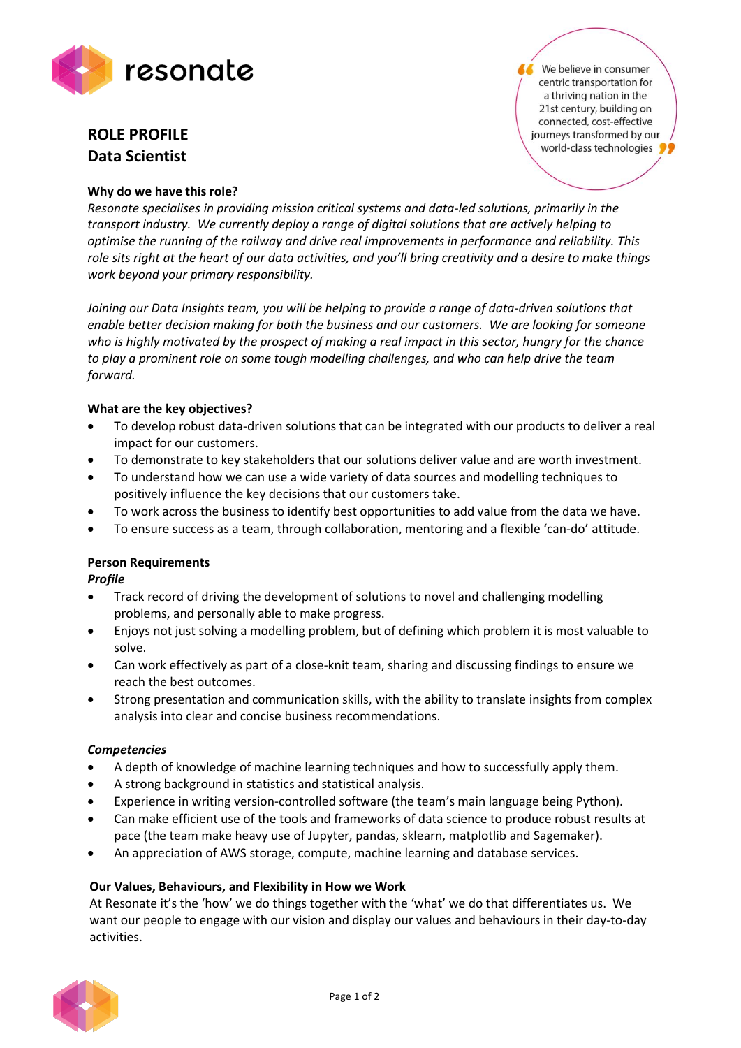

# **ROLE PROFILE Data Scientist**

## **Why do we have this role?**

We believe in consumer centric transportation for a thriving nation in the 21st century, building on connected, cost-effective journeys transformed by our world-class technologies

*Resonate specialises in providing mission critical systems and data-led solutions, primarily in the transport industry. We currently deploy a range of digital solutions that are actively helping to optimise the running of the railway and drive real improvements in performance and reliability. This role sits right at the heart of our data activities, and you'll bring creativity and a desire to make things work beyond your primary responsibility.*

*Joining our Data Insights team, you will be helping to provide a range of data-driven solutions that enable better decision making for both the business and our customers. We are looking for someone who is highly motivated by the prospect of making a real impact in this sector, hungry for the chance to play a prominent role on some tough modelling challenges, and who can help drive the team forward.*

## **What are the key objectives?**

- To develop robust data-driven solutions that can be integrated with our products to deliver a real impact for our customers.
- To demonstrate to key stakeholders that our solutions deliver value and are worth investment.
- To understand how we can use a wide variety of data sources and modelling techniques to positively influence the key decisions that our customers take.
- To work across the business to identify best opportunities to add value from the data we have.
- To ensure success as a team, through collaboration, mentoring and a flexible 'can-do' attitude.

## **Person Requirements**

*Profile*

- Track record of driving the development of solutions to novel and challenging modelling problems, and personally able to make progress.
- Enjoys not just solving a modelling problem, but of defining which problem it is most valuable to solve.
- Can work effectively as part of a close-knit team, sharing and discussing findings to ensure we reach the best outcomes.
- Strong presentation and communication skills, with the ability to translate insights from complex analysis into clear and concise business recommendations.

## *Competencies*

- A depth of knowledge of machine learning techniques and how to successfully apply them.
- A strong background in statistics and statistical analysis.
- Experience in writing version-controlled software (the team's main language being Python).
- Can make efficient use of the tools and frameworks of data science to produce robust results at pace (the team make heavy use of Jupyter, pandas, sklearn, matplotlib and Sagemaker).
- An appreciation of AWS storage, compute, machine learning and database services.

## **Our Values, Behaviours, and Flexibility in How we Work**

At Resonate it's the 'how' we do things together with the 'what' we do that differentiates us. We want our people to engage with our vision and display our values and behaviours in their day-to-day activities.